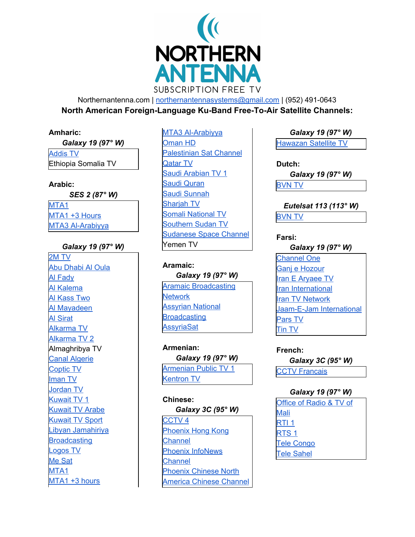

Northernantenna.com | [northernantennasystems@gmail.com](mailto:northernantennasystems@gmail.com) | (952) 491-0643 **North American Foreign-Language Ku-Band Free-To-Air Satellite Channels:**

### **Amharic:**

| Galaxy 19 (97° W)   |
|---------------------|
| <b>Addis TV</b>     |
| Ethiopia Somalia TV |

# **Arabic:**

*SES 2 (87° W)* [MTA1](http://www.mta.tv/) [MTA1](http://www.mta.tv/) +3 Hours MTA3 [Al-Arabiyya](http://www.mta.tv/)

# *Galaxy 19 (97° W)*

[2M](http://www.2m.ma/) TV Abu [Dhabi](http://www.adtv.ae/shows-overview/#drama) Al Oula Al [Fady](http://www.alfadytv.tv/) Al [Kalema](http://www.alkalema.tv/) Al [Kass](http://www.alkass.net/) Two Al [Mayadeen](http://www.almayadeen.net/) Al [Sirat](http://www.assirat.tv/) [Alkarma](http://www.alkarmatv.com/) TV [Alkarma](http://www.alkarmatv.com/) TV 2 Almaghribya TV Canal [Algerie](http://www.entv.dz/) [Coptic](http://www.ctvchannel.tv/index.aspx) TV [Iman](http://www.iman-tv.com/) TV [Jordan](http://www.jrtv.jo/jrtv/) TV [Kuwait](http://www.media.gov.kw/TVRadio/TV.aspx) TV 1 [Kuwait](http://www.media.gov.kw/TVRadio/TV.aspx) TV Arabe [Kuwait](http://www.media.gov.kw/LiveTV1.aspx?PanChannel=KTVSports) TV Sport Libyan [Jamahiriya](http://www.ljbc.net/home.php) **[Broadcasting](http://www.ljbc.net/home.php)** [Logos](http://www.logoschannel.com/) TV Me [Sat](http://mesat.tv/) [MTA1](http://www.mta.tv/) [MTA1](http://www.mta.tv/) +3 hours

MTA3 [Al-Arabiyya](http://www.mta.tv/) [Oman](http://part.gov.om/en/web/omantv/home) HD [Palestinian](http://www.pbc.ps/) Sat Channel [Qatar](http://www.qatar-tv.net/) TV Saudi [Arabian](http://www.saudi1.tv/) TV 1 Saudi [Quran](http://www.qurantv.sa/) Saudi [Sunnah](http://www.sunnatv.sa/) [Sharjah](http://www.sharjahtv.ae/) TV Somali [National](http://sntv.gov.so/) TV [Southern](https://www.facebook.com/pages/South-Sudan-Television-SSTV/2) Sudan TV [Sudanese](http://www.sudantv.tv/) Space Channel Yemen TV

**Aramaic:** *Galaxy 19 (97° W)* Aramaic [Broadcasting](http://www.abnsat.com/) **[Network](http://www.abnsat.com/)** [Assyrian](http://www.anbsat.com/) National **[Broadcasting](http://www.anbsat.com/) [AssyriaSat](http://www.betnahrain.org/assyriasat/assyriasat.htm)** 

**Armenian:** *Galaxy 19 (97° W)* [Armenian](http://www.1tv.am/en) Public TV 1 [Kentron](http://www.kentron.tv/) TV

**Chinese:** *Galaxy 3C (95° W)* [CCTV](http://www.cctv.com/homepage/profile/04/) 4 [Phoenix](http://www.phoenixtv-distribution.com/) Hong Kong [Channel](http://www.phoenixtv-distribution.com/) Phoenix [InfoNews](http://phtv.ifeng.com/english/pic.shtml) **[Channel](http://phtv.ifeng.com/english/pic.shtml)** Phoenix [Chinese](http://phtv.ifeng.com/english/pnacc.shtml) North America Chinese [Channel](http://phtv.ifeng.com/english/pnacc.shtml)

*Galaxy 19 (97° W)* [Hawazan](http://www.hwazantv.com/) Satellite TV

**Dutch:** *Galaxy 19 (97° W)* [BVN](http://www.bvn.nl/) TV

*Eutelsat 113 (113° W)* [BVN](http://www.bvn.nl/) TV

**Farsi:**

*Galaxy 19 (97° W)* [Channel](http://ch1.cc/) One Ganj e [Hozour](http://www.parvizshahbazi.com/) Iran E [Aryaee](http://www.ieatv.com/) TV Iran [International](https://iranintl.com/) Iran TV [Network](http://www.irantvnetwork.com/) [Jaam-E-Jam](http://www.jaamejamintl.com/) International [Pars](http://parstv.tv/) TV [Tin](http://tintv.net/) TV

**French:** *Galaxy 3C (95° W)* CCTV [Francais](http://fr.cctv.com/)

## *Galaxy 19 (97° W)*

Office of [Radio](http://www.ortm.ml/) & TV of [Mali](http://www.ortm.ml/) [RTI](http://www.rti.ci/rti1.php) 1 [RTS](http://www.rts.sn/default_RTS1_sommaire.htm) 1 Tele [Congo](http://www.congo-site.com/) Tele [Sahel](http://www.ortn.ne/)